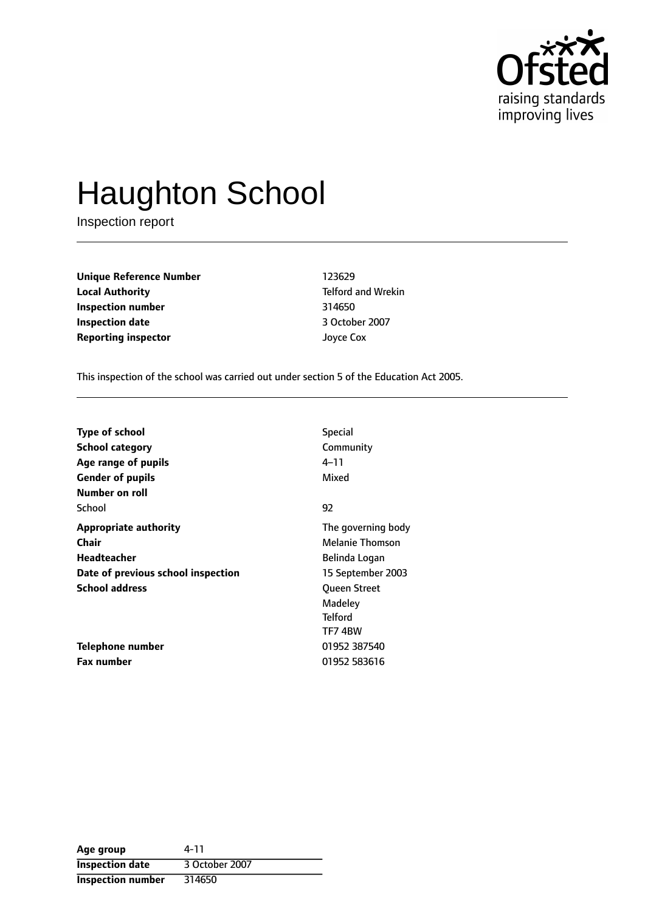

# Haughton School

Inspection report

**Unique Reference Number** 123629 **Local Authority Telford and Wrekin Inspection number** 314650 **Inspection date** 3 October 2007 **Reporting inspector** Joyce Cox

This inspection of the school was carried out under section 5 of the Education Act 2005.

| <b>Type of school</b>              | <b>Special</b>     |
|------------------------------------|--------------------|
|                                    |                    |
| <b>School category</b>             | Community          |
| Age range of pupils                | 4–11               |
| <b>Gender of pupils</b>            | Mixed              |
| Number on roll                     |                    |
| School                             | 92                 |
| <b>Appropriate authority</b>       | The governing body |
| Chair                              | Melanie Thomson    |
| Headteacher                        | Belinda Logan      |
| Date of previous school inspection | 15 September 2003  |
| <b>School address</b>              | Queen Street       |
|                                    | Madeley            |
|                                    | <b>Telford</b>     |
|                                    | TF74BW             |
| Telephone number                   | 01952 387540       |
| <b>Fax number</b>                  | 01952 583616       |

| Age group                | 4-11           |
|--------------------------|----------------|
| <b>Inspection date</b>   | 3 October 2007 |
| <b>Inspection number</b> | 314650         |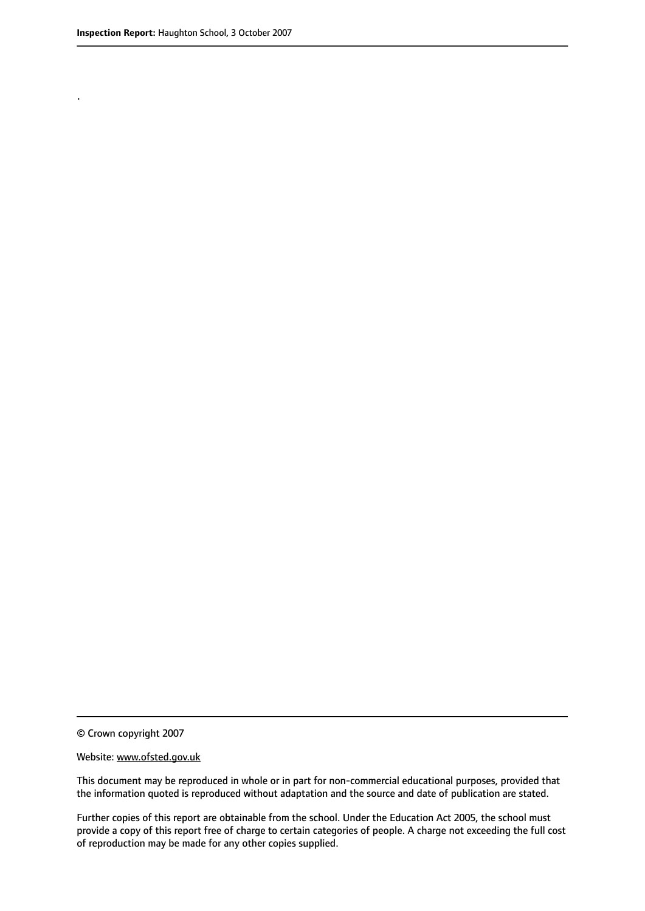.

© Crown copyright 2007

#### Website: www.ofsted.gov.uk

This document may be reproduced in whole or in part for non-commercial educational purposes, provided that the information quoted is reproduced without adaptation and the source and date of publication are stated.

Further copies of this report are obtainable from the school. Under the Education Act 2005, the school must provide a copy of this report free of charge to certain categories of people. A charge not exceeding the full cost of reproduction may be made for any other copies supplied.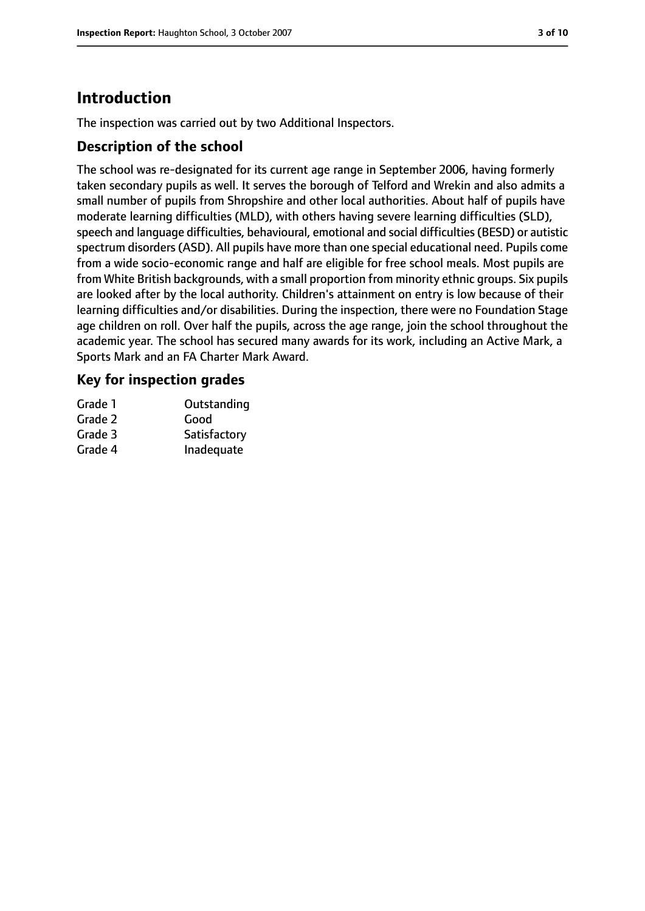# **Introduction**

The inspection was carried out by two Additional Inspectors.

#### **Description of the school**

The school was re-designated for its current age range in September 2006, having formerly taken secondary pupils as well. It serves the borough of Telford and Wrekin and also admits a small number of pupils from Shropshire and other local authorities. About half of pupils have moderate learning difficulties (MLD), with others having severe learning difficulties (SLD), speech and language difficulties, behavioural, emotional and social difficulties(BESD) or autistic spectrum disorders (ASD). All pupils have more than one special educational need. Pupils come from a wide socio-economic range and half are eligible for free school meals. Most pupils are from White British backgrounds, with a small proportion from minority ethnic groups. Six pupils are looked after by the local authority. Children's attainment on entry is low because of their learning difficulties and/or disabilities. During the inspection, there were no Foundation Stage age children on roll. Over half the pupils, across the age range, join the school throughout the academic year. The school has secured many awards for its work, including an Active Mark, a Sports Mark and an FA Charter Mark Award.

#### **Key for inspection grades**

| Grade 1 | Outstanding  |
|---------|--------------|
| Grade 2 | Good         |
| Grade 3 | Satisfactory |
| Grade 4 | Inadequate   |
|         |              |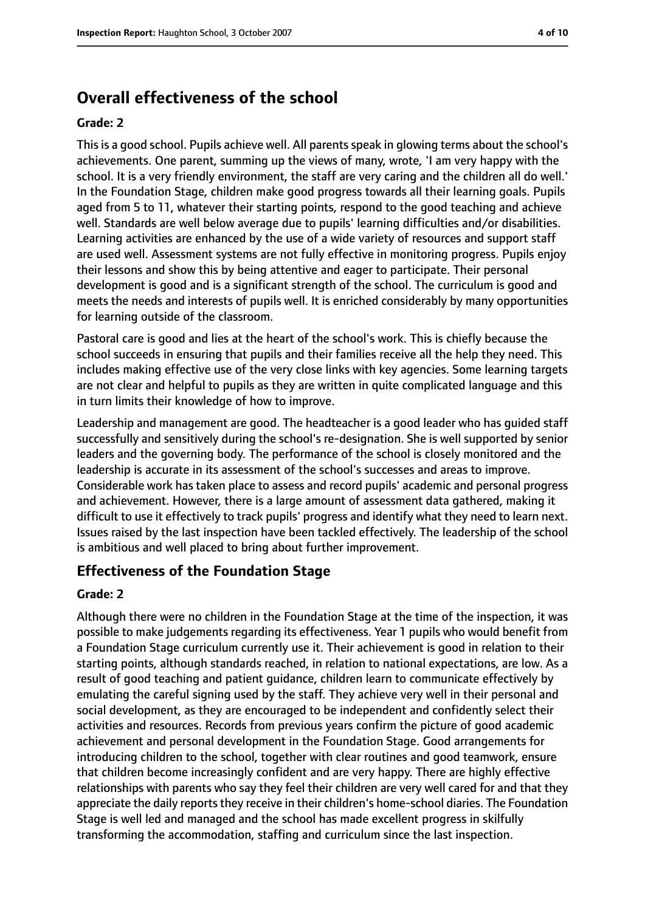# **Overall effectiveness of the school**

#### **Grade: 2**

This is a good school. Pupils achieve well. All parents speak in glowing terms about the school's achievements. One parent, summing up the views of many, wrote, 'I am very happy with the school. It is a very friendly environment, the staff are very caring and the children all do well.' In the Foundation Stage, children make good progress towards all their learning goals. Pupils aged from 5 to 11, whatever their starting points, respond to the good teaching and achieve well. Standards are well below average due to pupils' learning difficulties and/or disabilities. Learning activities are enhanced by the use of a wide variety of resources and support staff are used well. Assessment systems are not fully effective in monitoring progress. Pupils enjoy their lessons and show this by being attentive and eager to participate. Their personal development is good and is a significant strength of the school. The curriculum is good and meets the needs and interests of pupils well. It is enriched considerably by many opportunities for learning outside of the classroom.

Pastoral care is good and lies at the heart of the school's work. This is chiefly because the school succeeds in ensuring that pupils and their families receive all the help they need. This includes making effective use of the very close links with key agencies. Some learning targets are not clear and helpful to pupils as they are written in quite complicated language and this in turn limits their knowledge of how to improve.

Leadership and management are good. The headteacher is a good leader who has guided staff successfully and sensitively during the school's re-designation. She is well supported by senior leaders and the governing body. The performance of the school is closely monitored and the leadership is accurate in its assessment of the school's successes and areas to improve. Considerable work has taken place to assess and record pupils' academic and personal progress and achievement. However, there is a large amount of assessment data gathered, making it difficult to use it effectively to track pupils' progress and identify what they need to learn next. Issues raised by the last inspection have been tackled effectively. The leadership of the school is ambitious and well placed to bring about further improvement.

#### **Effectiveness of the Foundation Stage**

#### **Grade: 2**

Although there were no children in the Foundation Stage at the time of the inspection, it was possible to make judgements regarding its effectiveness. Year 1 pupils who would benefit from a Foundation Stage curriculum currently use it. Their achievement is good in relation to their starting points, although standards reached, in relation to national expectations, are low. As a result of good teaching and patient guidance, children learn to communicate effectively by emulating the careful signing used by the staff. They achieve very well in their personal and social development, as they are encouraged to be independent and confidently select their activities and resources. Records from previous years confirm the picture of good academic achievement and personal development in the Foundation Stage. Good arrangements for introducing children to the school, together with clear routines and good teamwork, ensure that children become increasingly confident and are very happy. There are highly effective relationships with parents who say they feel their children are very well cared for and that they appreciate the daily reports they receive in their children's home-school diaries. The Foundation Stage is well led and managed and the school has made excellent progress in skilfully transforming the accommodation, staffing and curriculum since the last inspection.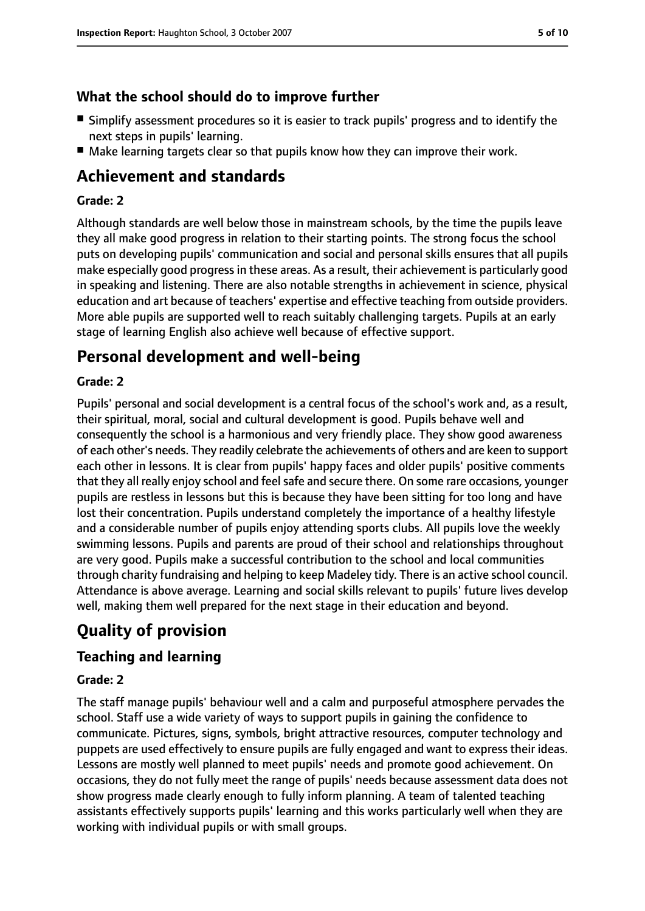## **What the school should do to improve further**

- Simplify assessment procedures so it is easier to track pupils' progress and to identify the next steps in pupils' learning.
- Make learning targets clear so that pupils know how they can improve their work.

# **Achievement and standards**

#### **Grade: 2**

Although standards are well below those in mainstream schools, by the time the pupils leave they all make good progress in relation to their starting points. The strong focus the school puts on developing pupils' communication and social and personal skills ensures that all pupils make especially good progressin these areas. As a result, their achievement is particularly good in speaking and listening. There are also notable strengths in achievement in science, physical education and art because of teachers' expertise and effective teaching from outside providers. More able pupils are supported well to reach suitably challenging targets. Pupils at an early stage of learning English also achieve well because of effective support.

# **Personal development and well-being**

#### **Grade: 2**

Pupils' personal and social development is a central focus of the school's work and, as a result, their spiritual, moral, social and cultural development is good. Pupils behave well and consequently the school is a harmonious and very friendly place. They show good awareness of each other's needs. They readily celebrate the achievements of others and are keen to support each other in lessons. It is clear from pupils' happy faces and older pupils' positive comments that they all really enjoy school and feelsafe and secure there. On some rare occasions, younger pupils are restless in lessons but this is because they have been sitting for too long and have lost their concentration. Pupils understand completely the importance of a healthy lifestyle and a considerable number of pupils enjoy attending sports clubs. All pupils love the weekly swimming lessons. Pupils and parents are proud of their school and relationships throughout are very good. Pupils make a successful contribution to the school and local communities through charity fundraising and helping to keep Madeley tidy. There is an active school council. Attendance is above average. Learning and social skills relevant to pupils' future lives develop well, making them well prepared for the next stage in their education and beyond.

# **Quality of provision**

## **Teaching and learning**

#### **Grade: 2**

The staff manage pupils' behaviour well and a calm and purposeful atmosphere pervades the school. Staff use a wide variety of ways to support pupils in gaining the confidence to communicate. Pictures, signs, symbols, bright attractive resources, computer technology and puppets are used effectively to ensure pupils are fully engaged and want to express their ideas. Lessons are mostly well planned to meet pupils' needs and promote good achievement. On occasions, they do not fully meet the range of pupils' needs because assessment data does not show progress made clearly enough to fully inform planning. A team of talented teaching assistants effectively supports pupils' learning and this works particularly well when they are working with individual pupils or with small groups.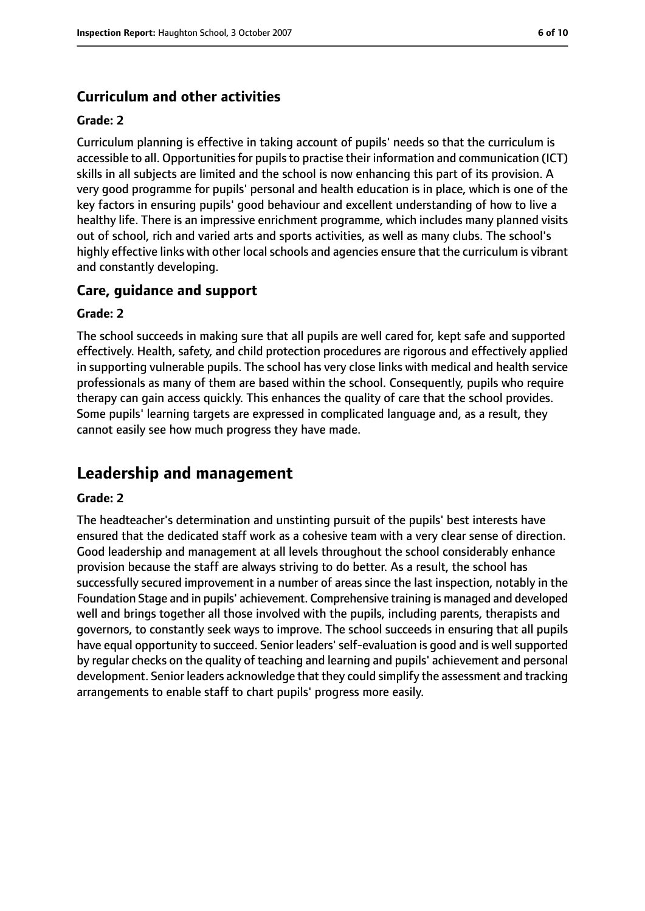## **Curriculum and other activities**

#### **Grade: 2**

Curriculum planning is effective in taking account of pupils' needs so that the curriculum is accessible to all. Opportunities for pupils to practise their information and communication (ICT) skills in all subjects are limited and the school is now enhancing this part of its provision. A very good programme for pupils' personal and health education is in place, which is one of the key factors in ensuring pupils' good behaviour and excellent understanding of how to live a healthy life. There is an impressive enrichment programme, which includes many planned visits out of school, rich and varied arts and sports activities, as well as many clubs. The school's highly effective links with other local schools and agencies ensure that the curriculum is vibrant and constantly developing.

#### **Care, guidance and support**

#### **Grade: 2**

The school succeeds in making sure that all pupils are well cared for, kept safe and supported effectively. Health, safety, and child protection procedures are rigorous and effectively applied in supporting vulnerable pupils. The school has very close links with medical and health service professionals as many of them are based within the school. Consequently, pupils who require therapy can gain access quickly. This enhances the quality of care that the school provides. Some pupils' learning targets are expressed in complicated language and, as a result, they cannot easily see how much progress they have made.

## **Leadership and management**

#### **Grade: 2**

The headteacher's determination and unstinting pursuit of the pupils' best interests have ensured that the dedicated staff work as a cohesive team with a very clear sense of direction. Good leadership and management at all levels throughout the school considerably enhance provision because the staff are always striving to do better. As a result, the school has successfully secured improvement in a number of areas since the last inspection, notably in the Foundation Stage and in pupils' achievement. Comprehensive training is managed and developed well and brings together all those involved with the pupils, including parents, therapists and governors, to constantly seek ways to improve. The school succeeds in ensuring that all pupils have equal opportunity to succeed. Senior leaders' self-evaluation is good and is well supported by regular checks on the quality of teaching and learning and pupils' achievement and personal development. Senior leaders acknowledge that they could simplify the assessment and tracking arrangements to enable staff to chart pupils' progress more easily.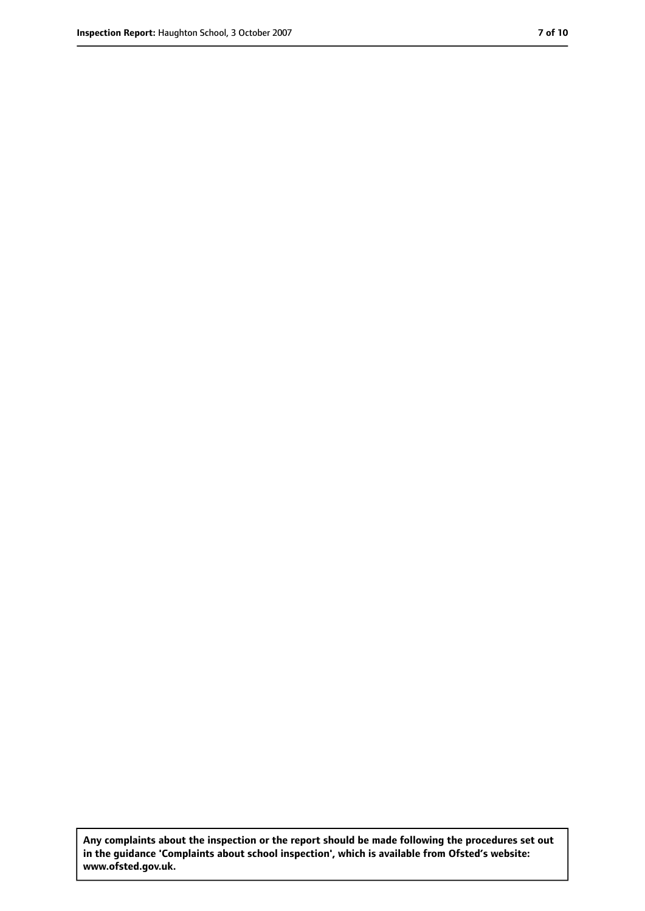**Any complaints about the inspection or the report should be made following the procedures set out in the guidance 'Complaints about school inspection', which is available from Ofsted's website: www.ofsted.gov.uk.**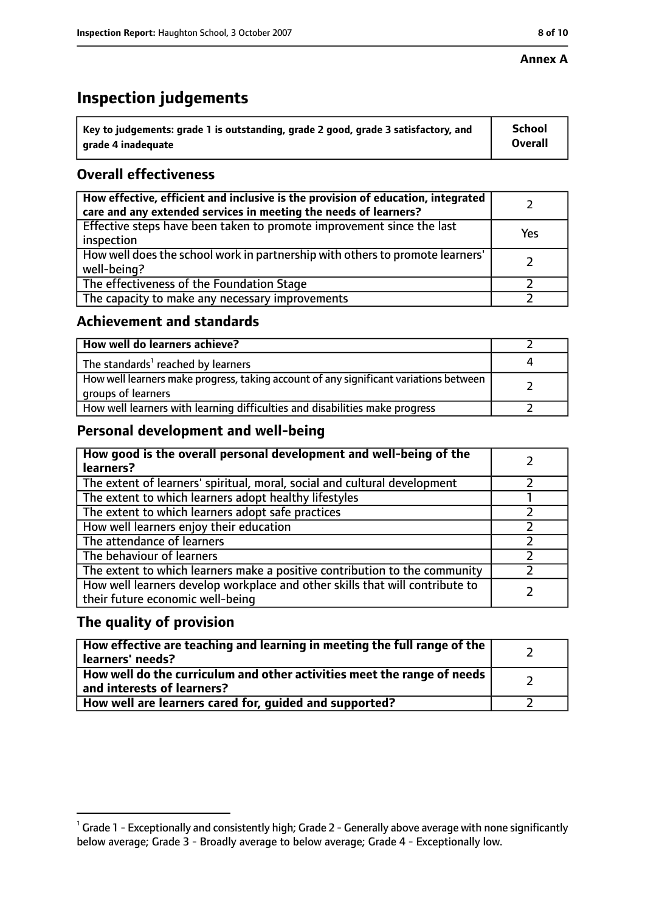#### **Annex A**

# **Inspection judgements**

| $^{\backprime}$ Key to judgements: grade 1 is outstanding, grade 2 good, grade 3 satisfactory, and | School         |
|----------------------------------------------------------------------------------------------------|----------------|
| arade 4 inadeguate                                                                                 | <b>Overall</b> |

## **Overall effectiveness**

| How effective, efficient and inclusive is the provision of education, integrated<br>care and any extended services in meeting the needs of learners? |     |
|------------------------------------------------------------------------------------------------------------------------------------------------------|-----|
| Effective steps have been taken to promote improvement since the last<br>inspection                                                                  | Yes |
| How well does the school work in partnership with others to promote learners'<br>well-being?                                                         |     |
| The effectiveness of the Foundation Stage                                                                                                            |     |
| The capacity to make any necessary improvements                                                                                                      |     |

## **Achievement and standards**

| How well do learners achieve?                                                                               |  |
|-------------------------------------------------------------------------------------------------------------|--|
| The standards <sup>1</sup> reached by learners                                                              |  |
| How well learners make progress, taking account of any significant variations between<br>groups of learners |  |
| How well learners with learning difficulties and disabilities make progress                                 |  |

## **Personal development and well-being**

| How good is the overall personal development and well-being of the<br>learners?                                  |  |
|------------------------------------------------------------------------------------------------------------------|--|
| The extent of learners' spiritual, moral, social and cultural development                                        |  |
| The extent to which learners adopt healthy lifestyles                                                            |  |
| The extent to which learners adopt safe practices                                                                |  |
| How well learners enjoy their education                                                                          |  |
| The attendance of learners                                                                                       |  |
| The behaviour of learners                                                                                        |  |
| The extent to which learners make a positive contribution to the community                                       |  |
| How well learners develop workplace and other skills that will contribute to<br>their future economic well-being |  |

## **The quality of provision**

| How effective are teaching and learning in meeting the full range of the<br>learners' needs?          |  |
|-------------------------------------------------------------------------------------------------------|--|
| How well do the curriculum and other activities meet the range of needs<br>and interests of learners? |  |
| How well are learners cared for, quided and supported?                                                |  |

 $^1$  Grade 1 - Exceptionally and consistently high; Grade 2 - Generally above average with none significantly below average; Grade 3 - Broadly average to below average; Grade 4 - Exceptionally low.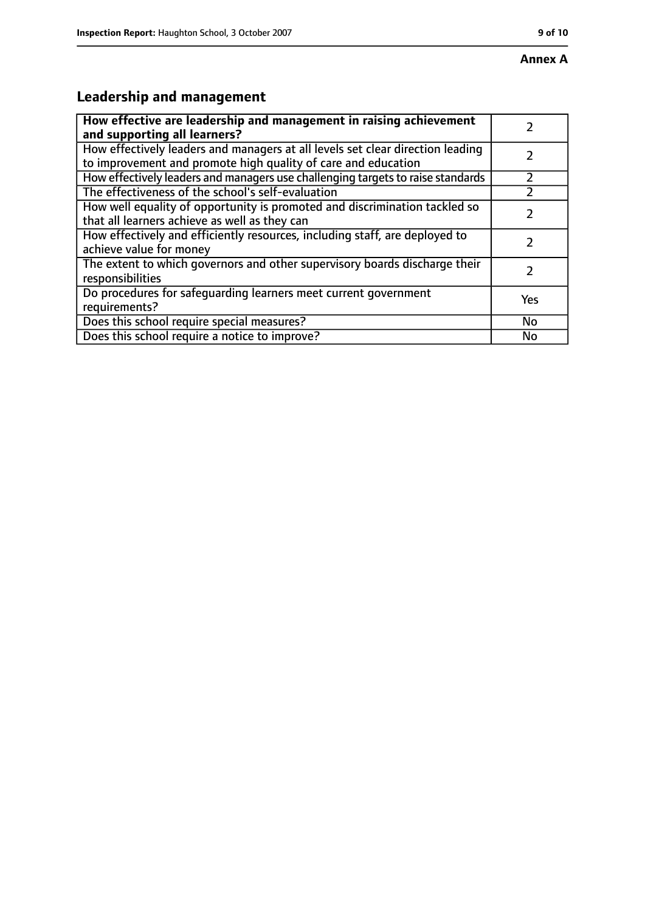# **Leadership and management**

| How effective are leadership and management in raising achievement<br>and supporting all learners?                                              |     |
|-------------------------------------------------------------------------------------------------------------------------------------------------|-----|
| How effectively leaders and managers at all levels set clear direction leading<br>to improvement and promote high quality of care and education |     |
| How effectively leaders and managers use challenging targets to raise standards                                                                 |     |
| The effectiveness of the school's self-evaluation                                                                                               |     |
| How well equality of opportunity is promoted and discrimination tackled so<br>that all learners achieve as well as they can                     |     |
| How effectively and efficiently resources, including staff, are deployed to<br>achieve value for money                                          | 7   |
| The extent to which governors and other supervisory boards discharge their<br>responsibilities                                                  |     |
| Do procedures for safequarding learners meet current government<br>requirements?                                                                | Yes |
| Does this school require special measures?                                                                                                      | No  |
| Does this school require a notice to improve?                                                                                                   | No  |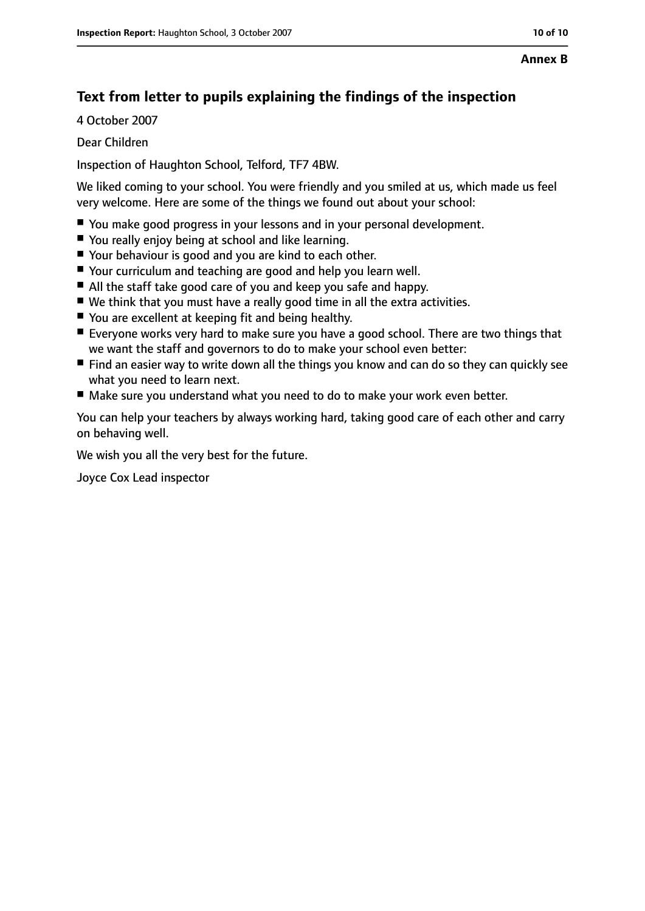# **Text from letter to pupils explaining the findings of the inspection**

4 October 2007

Dear Children

Inspection of Haughton School, Telford, TF7 4BW.

We liked coming to your school. You were friendly and you smiled at us, which made us feel very welcome. Here are some of the things we found out about your school:

- You make good progress in your lessons and in your personal development.
- You really enjoy being at school and like learning.
- Your behaviour is good and you are kind to each other.
- Your curriculum and teaching are good and help you learn well.
- All the staff take good care of you and keep you safe and happy.
- We think that you must have a really good time in all the extra activities.
- You are excellent at keeping fit and being healthy.
- Everyone works very hard to make sure you have a good school. There are two things that we want the staff and governors to do to make your school even better:
- Find an easier way to write down all the things you know and can do so they can quickly see what you need to learn next.
- Make sure you understand what you need to do to make your work even better.

You can help your teachers by always working hard, taking good care of each other and carry on behaving well.

We wish you all the very best for the future.

Joyce Cox Lead inspector